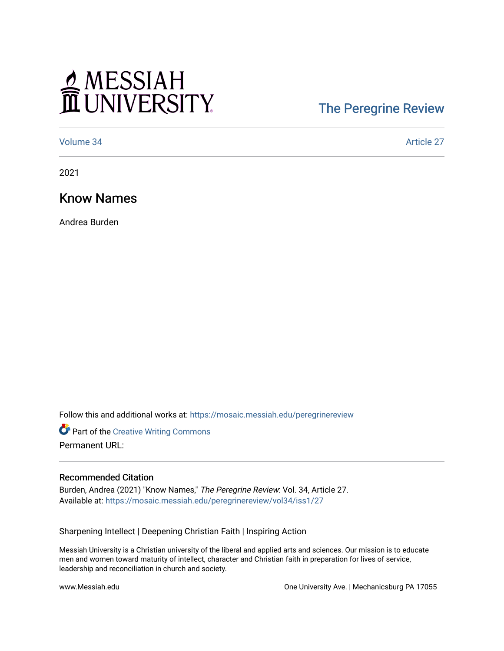# MESSIAH

# [The Peregrine Review](https://mosaic.messiah.edu/peregrinereview)

[Volume 34](https://mosaic.messiah.edu/peregrinereview/vol34) Article 27

2021

Know Names

Andrea Burden

Follow this and additional works at: [https://mosaic.messiah.edu/peregrinereview](https://mosaic.messiah.edu/peregrinereview?utm_source=mosaic.messiah.edu%2Fperegrinereview%2Fvol34%2Fiss1%2F27&utm_medium=PDF&utm_campaign=PDFCoverPages) 

Part of the [Creative Writing Commons](http://network.bepress.com/hgg/discipline/574?utm_source=mosaic.messiah.edu%2Fperegrinereview%2Fvol34%2Fiss1%2F27&utm_medium=PDF&utm_campaign=PDFCoverPages)  Permanent URL:

#### Recommended Citation

Burden, Andrea (2021) "Know Names," The Peregrine Review: Vol. 34, Article 27. Available at: [https://mosaic.messiah.edu/peregrinereview/vol34/iss1/27](https://mosaic.messiah.edu/peregrinereview/vol34/iss1/27?utm_source=mosaic.messiah.edu%2Fperegrinereview%2Fvol34%2Fiss1%2F27&utm_medium=PDF&utm_campaign=PDFCoverPages)

Sharpening Intellect | Deepening Christian Faith | Inspiring Action

Messiah University is a Christian university of the liberal and applied arts and sciences. Our mission is to educate men and women toward maturity of intellect, character and Christian faith in preparation for lives of service, leadership and reconciliation in church and society.

www.Messiah.edu **One University Ave. | Mechanicsburg PA 17055**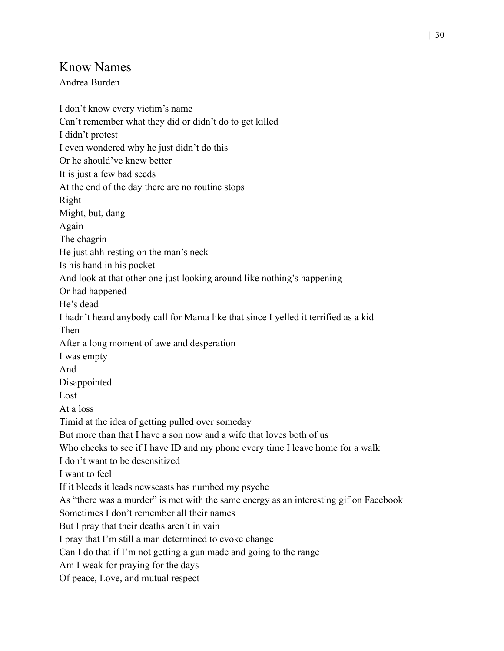## Know Names

### Andrea Burden

I don't know every victim's name Can't remember what they did or didn't do to get killed I didn't protest I even wondered why he just didn't do this Or he should've knew better It is just a few bad seeds At the end of the day there are no routine stops Right Might, but, dang Again The chagrin He just ahh-resting on the man's neck Is his hand in his pocket And look at that other one just looking around like nothing's happening Or had happened He's dead I hadn't heard anybody call for Mama like that since I yelled it terrified as a kid Then After a long moment of awe and desperation I was empty And Disappointed Lost At a loss Timid at the idea of getting pulled over someday But more than that I have a son now and a wife that loves both of us Who checks to see if I have ID and my phone every time I leave home for a walk I don't want to be desensitized I want to feel If it bleeds it leads newscasts has numbed my psyche As "there was a murder" is met with the same energy as an interesting gif on Facebook Sometimes I don't remember all their names But I pray that their deaths aren't in vain I pray that I'm still a man determined to evoke change Can I do that if I'm not getting a gun made and going to the range Am I weak for praying for the days Of peace, Love, and mutual respect